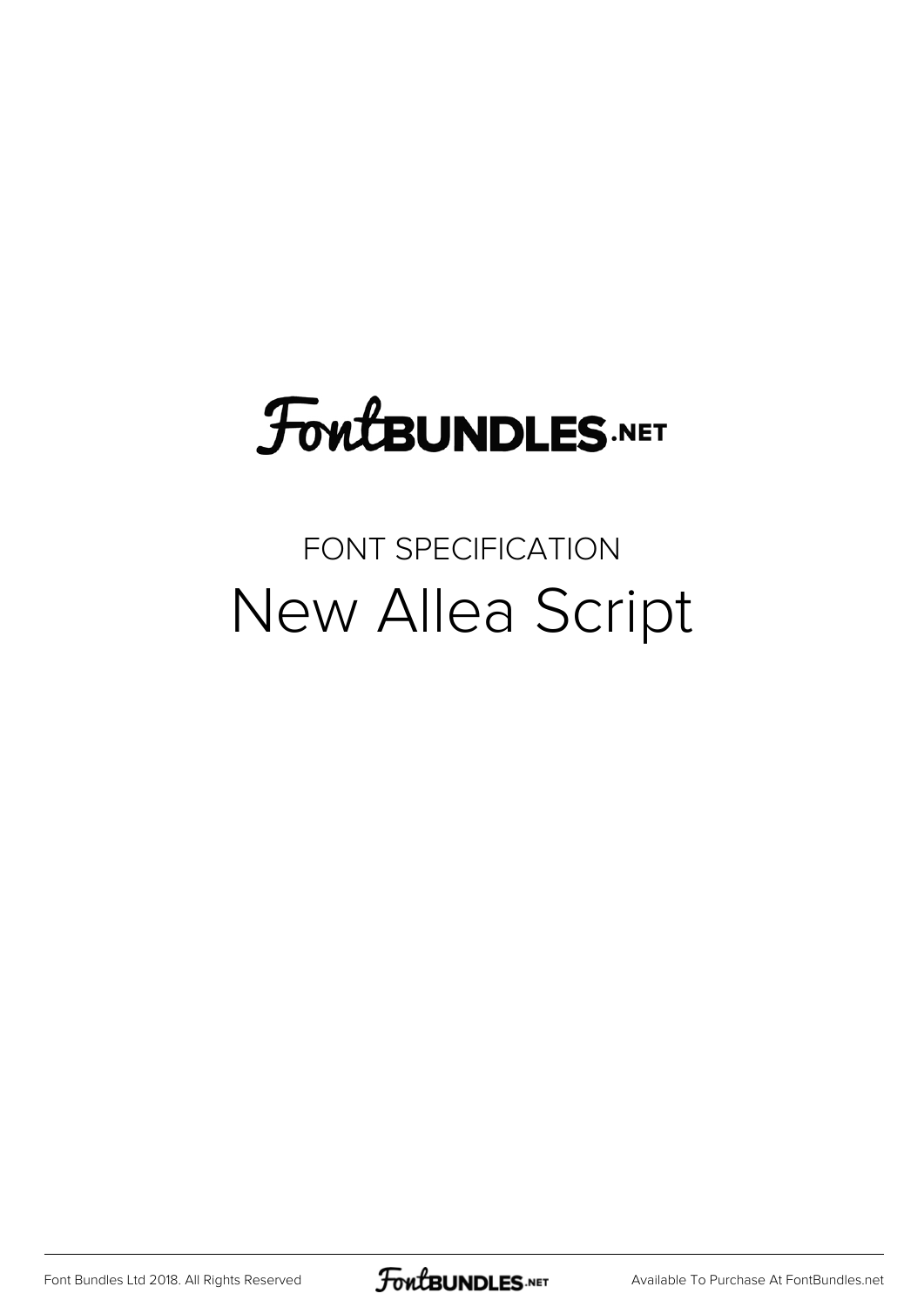## **FoutBUNDLES.NET**

## FONT SPECIFICATION New Allea Script

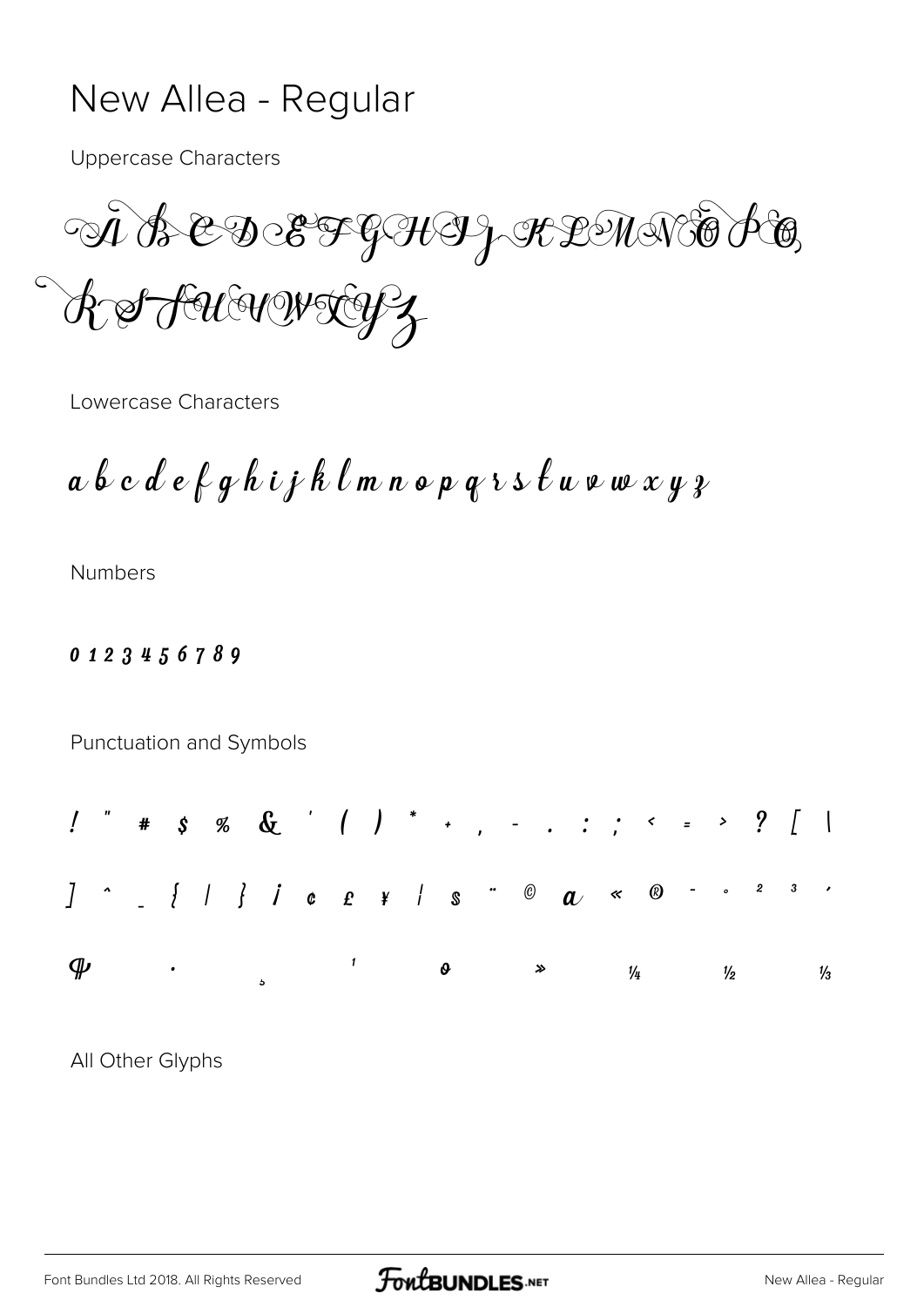## New Allea - Regular

**Uppercase Characters** 

A BEDEFGHIJ KLMNT PG Reffuluerreg

Lowercase Characters

 $a\; b\; c\; d\; e\; \beta\; g\; h\; i\; j\; k\; l\; m\; n\; o\; p\; q\; v\; s\; \ell\; u\; v\; w\; x\; y\; y$ 

**Numbers** 

0123456789

Punctuation and Symbols



All Other Glyphs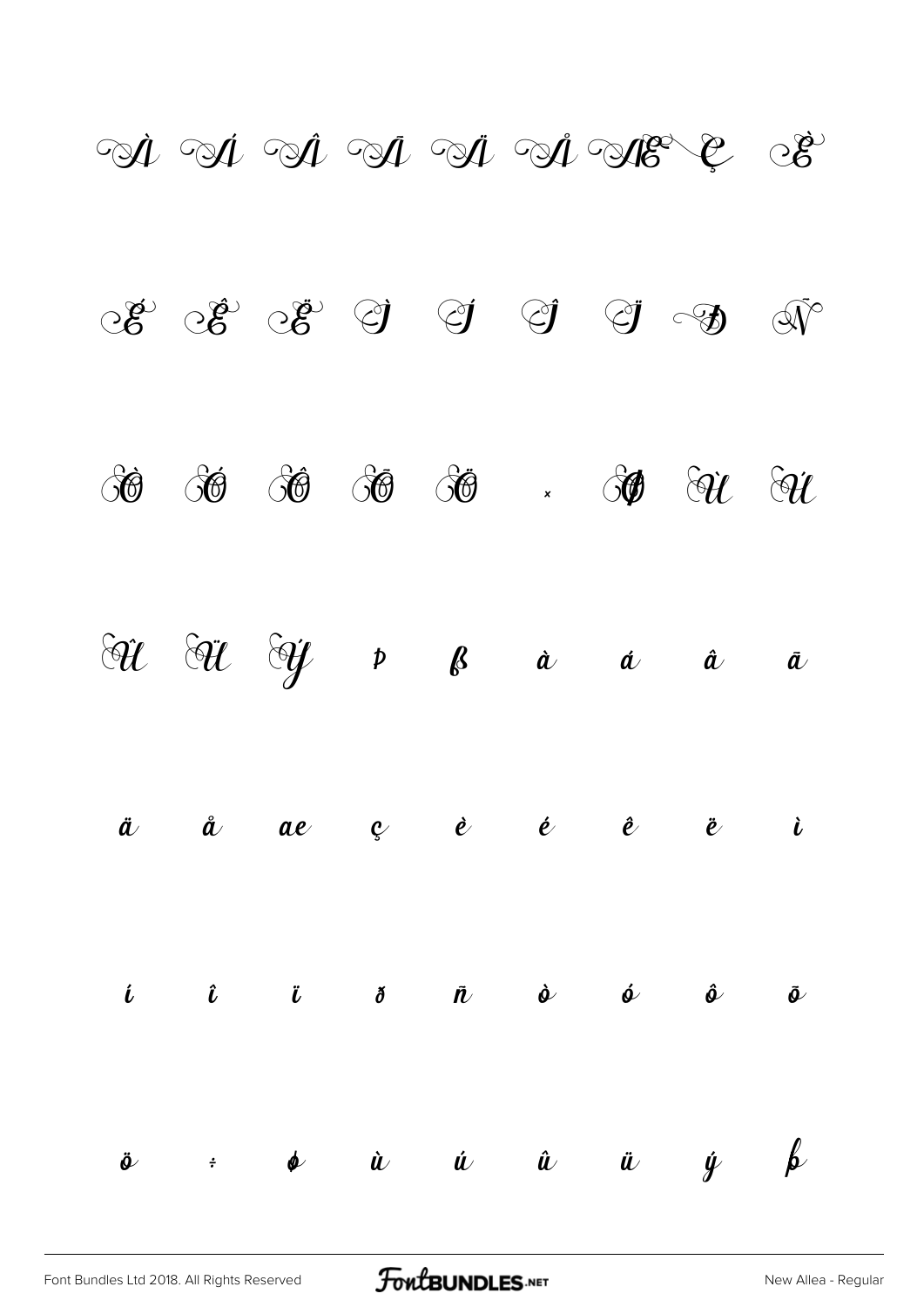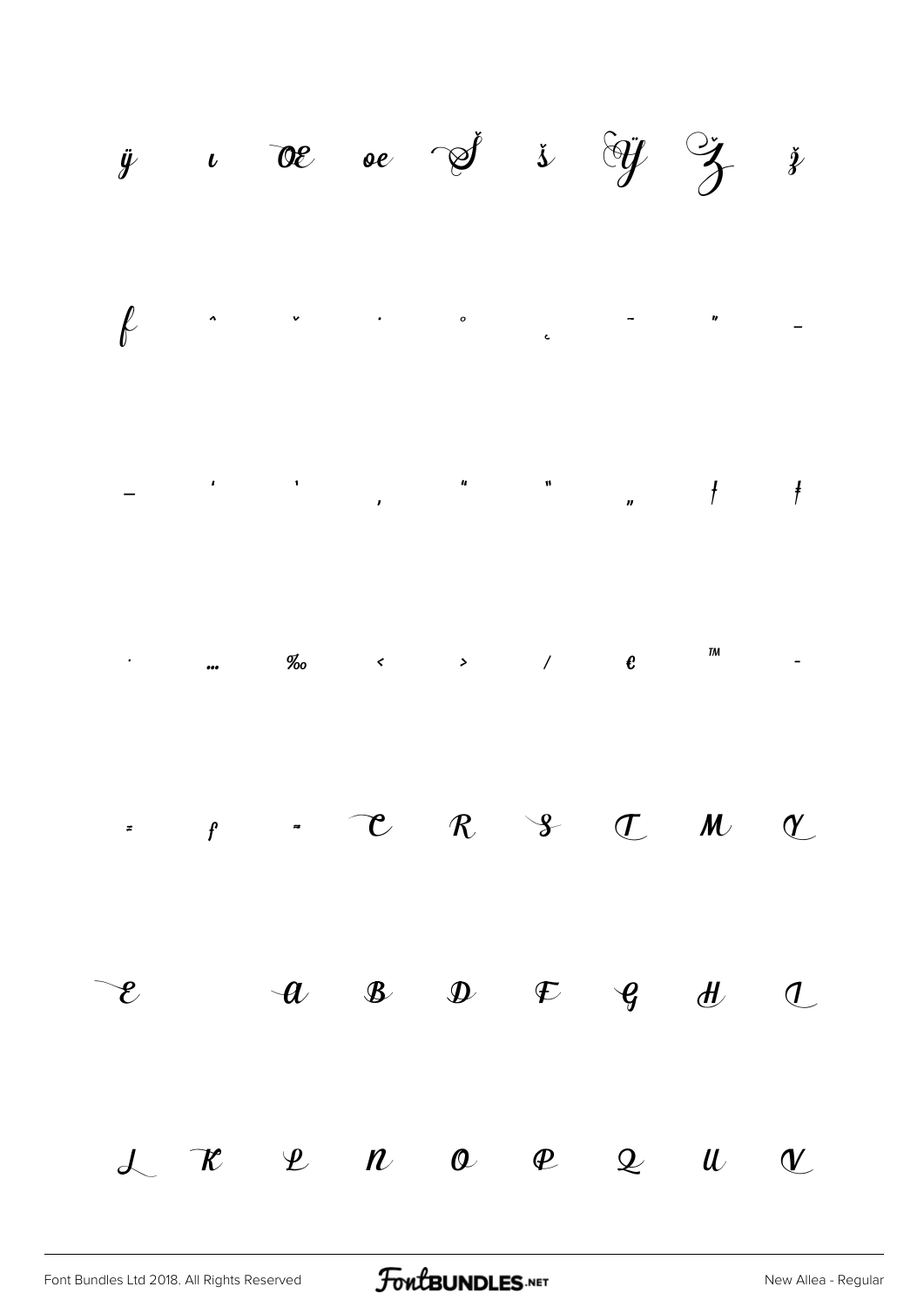